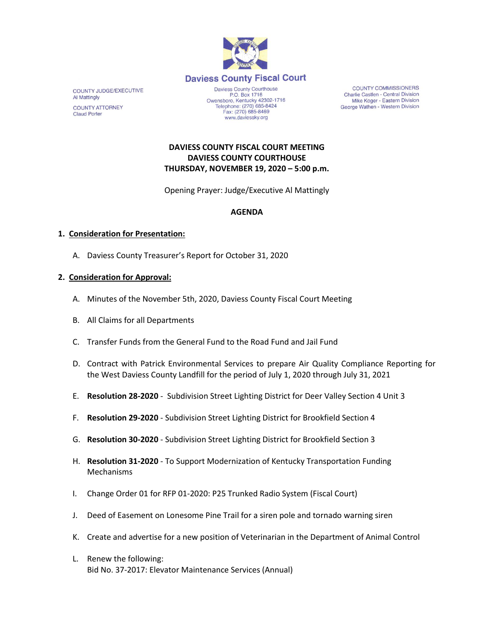

COUNTY JUDGE/EXECUTIVE Al Mattingly **COUNTY ATTORNEY Claud Porter** 

P.O. Box 1716<br>P.O. Box 1716<br>Owensboro, Kentucky 42302-1716<br>Telephone: (270) 685-8424 Fax: (270) 685-8469 www.daviessky.org

COUNTY COMMISSIONERS Charlie Castlen - Central Division Mike Koger - Eastern Division George Wathen - Western Division

**DAVIESS COUNTY FISCAL COURT MEETING DAVIESS COUNTY COURTHOUSE THURSDAY, NOVEMBER 19, 2020 – 5:00 p.m.** 

Opening Prayer: Judge/Executive Al Mattingly

## **AGENDA**

## **1. Consideration for Presentation:**

A. Daviess County Treasurer's Report for October 31, 2020

## **2. Consideration for Approval:**

- A. Minutes of the November 5th, 2020, Daviess County Fiscal Court Meeting
- B. All Claims for all Departments
- C. Transfer Funds from the General Fund to the Road Fund and Jail Fund
- D. Contract with Patrick Environmental Services to prepare Air Quality Compliance Reporting for the West Daviess County Landfill for the period of July 1, 2020 through July 31, 2021
- E. **Resolution 28-2020** Subdivision Street Lighting District for Deer Valley Section 4 Unit 3
- F. **Resolution 29-2020** Subdivision Street Lighting District for Brookfield Section 4
- G. **Resolution 30-2020** Subdivision Street Lighting District for Brookfield Section 3
- H. **Resolution 31-2020** To Support Modernization of Kentucky Transportation Funding Mechanisms
- I. Change Order 01 for RFP 01-2020: P25 Trunked Radio System (Fiscal Court)
- J. Deed of Easement on Lonesome Pine Trail for a siren pole and tornado warning siren
- K. Create and advertise for a new position of Veterinarian in the Department of Animal Control
- L. Renew the following: Bid No. 37-2017: Elevator Maintenance Services (Annual)